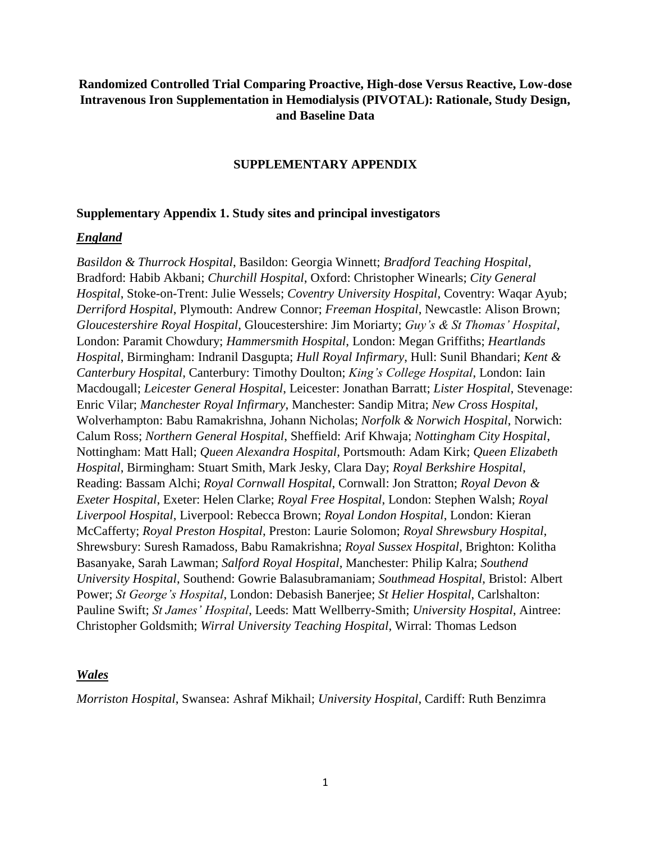## **Randomized Controlled Trial Comparing Proactive, High-dose Versus Reactive, Low-dose Intravenous Iron Supplementation in Hemodialysis (PIVOTAL): Rationale, Study Design, and Baseline Data**

#### **SUPPLEMENTARY APPENDIX**

#### **Supplementary Appendix 1. Study sites and principal investigators**

#### *England*

*Basildon & Thurrock Hospital*, Basildon: Georgia Winnett; *Bradford Teaching Hospital*, Bradford: Habib Akbani; *Churchill Hospital*, Oxford: Christopher Winearls; *City General Hospital*, Stoke-on-Trent: Julie Wessels; *Coventry University Hospital*, Coventry: Waqar Ayub; *Derriford Hospital*, Plymouth: Andrew Connor; *Freeman Hospital*, Newcastle: Alison Brown; *Gloucestershire Royal Hospital*, Gloucestershire: Jim Moriarty; *Guy's & St Thomas' Hospital*, London: Paramit Chowdury; *Hammersmith Hospital*, London: Megan Griffiths; *Heartlands Hospital*, Birmingham: Indranil Dasgupta; *Hull Royal Infirmary*, Hull: Sunil Bhandari; *Kent & Canterbury Hospital*, Canterbury: Timothy Doulton; *King's College Hospital*, London: Iain Macdougall; *Leicester General Hospital*, Leicester: Jonathan Barratt; *Lister Hospital*, Stevenage: Enric Vilar; *Manchester Royal Infirmary*, Manchester: Sandip Mitra; *New Cross Hospital*, Wolverhampton: Babu Ramakrishna, Johann Nicholas; *Norfolk & Norwich Hospital*, Norwich: Calum Ross; *Northern General Hospital*, Sheffield: Arif Khwaja; *Nottingham City Hospital*, Nottingham: Matt Hall; *Queen Alexandra Hospital*, Portsmouth: Adam Kirk; *Queen Elizabeth Hospital*, Birmingham: Stuart Smith, Mark Jesky, Clara Day; *Royal Berkshire Hospital*, Reading: Bassam Alchi; *Royal Cornwall Hospital*, Cornwall: Jon Stratton; *Royal Devon & Exeter Hospital*, Exeter: Helen Clarke; *Royal Free Hospital*, London: Stephen Walsh; *Royal Liverpool Hospital*, Liverpool: Rebecca Brown; *Royal London Hospital*, London: Kieran McCafferty; *Royal Preston Hospital*, Preston: Laurie Solomon; *Royal Shrewsbury Hospital*, Shrewsbury: Suresh Ramadoss, Babu Ramakrishna; *Royal Sussex Hospital*, Brighton: Kolitha Basanyake, Sarah Lawman; *Salford Royal Hospital*, Manchester: Philip Kalra; *Southend University Hospital*, Southend: Gowrie Balasubramaniam; *Southmead Hospital*, Bristol: Albert Power; *St George's Hospital*, London: Debasish Banerjee; *St Helier Hospital*, Carlshalton: Pauline Swift; *St James' Hospital*, Leeds: Matt Wellberry-Smith; *University Hospital*, Aintree: Christopher Goldsmith; *Wirral University Teaching Hospital*, Wirral: Thomas Ledson

#### *Wales*

*Morriston Hospital*, Swansea: Ashraf Mikhail; *University Hospital*, Cardiff: Ruth Benzimra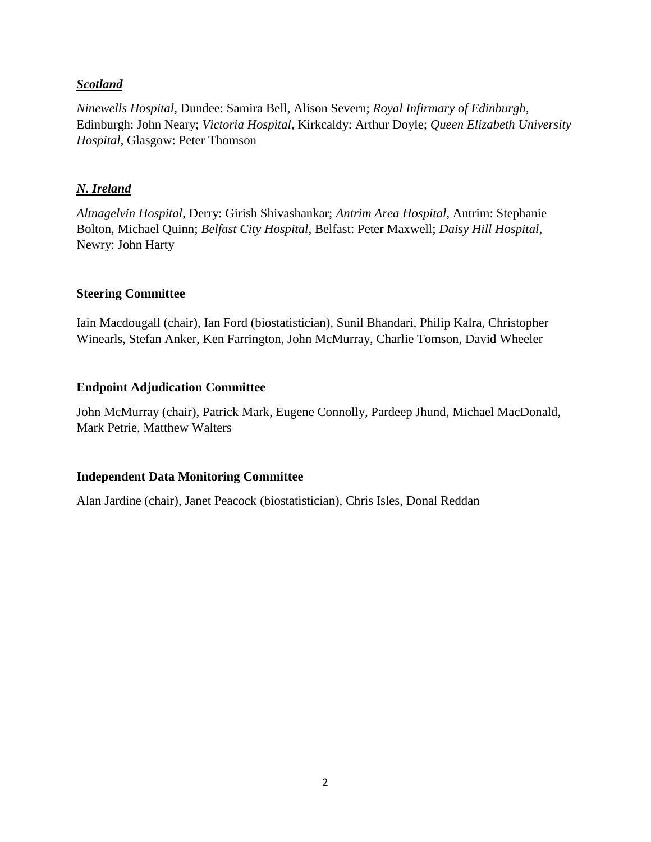## *Scotland*

*Ninewells Hospital*, Dundee: Samira Bell, Alison Severn; *Royal Infirmary of Edinburgh*, Edinburgh: John Neary; *Victoria Hospital*, Kirkcaldy: Arthur Doyle; *Queen Elizabeth University Hospital*, Glasgow: Peter Thomson

## *N. Ireland*

*Altnagelvin Hospital*, Derry: Girish Shivashankar; *Antrim Area Hospital*, Antrim: Stephanie Bolton, Michael Quinn; *Belfast City Hospital*, Belfast: Peter Maxwell; *Daisy Hill Hospital*, Newry: John Harty

#### **Steering Committee**

Iain Macdougall (chair), Ian Ford (biostatistician), Sunil Bhandari, Philip Kalra, Christopher Winearls, Stefan Anker, Ken Farrington, John McMurray, Charlie Tomson, David Wheeler

## **Endpoint Adjudication Committee**

John McMurray (chair), Patrick Mark, Eugene Connolly, Pardeep Jhund, Michael MacDonald, Mark Petrie, Matthew Walters

## **Independent Data Monitoring Committee**

Alan Jardine (chair), Janet Peacock (biostatistician), Chris Isles, Donal Reddan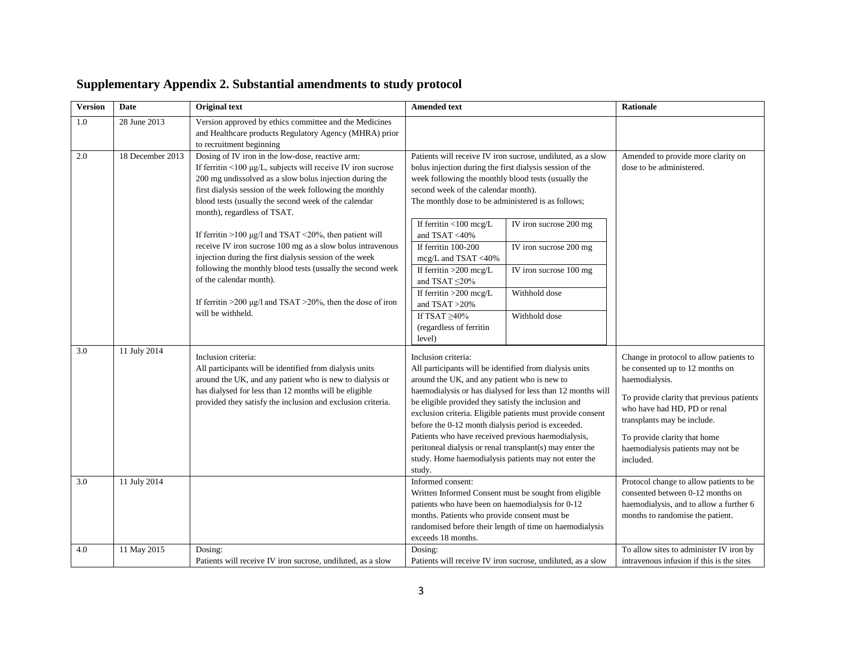| <b>Version</b> | Date             | <b>Original</b> text                                                                                                                                                                                                                                                                                                                                                                                                                                                                                                                                                                                       | <b>Amended text</b>                                                                                                                                                                                                                                                                                                                                                                                                                                                                                                                                         |                                                                                             | <b>Rationale</b>                                                                                                                                                                                                                                                                           |
|----------------|------------------|------------------------------------------------------------------------------------------------------------------------------------------------------------------------------------------------------------------------------------------------------------------------------------------------------------------------------------------------------------------------------------------------------------------------------------------------------------------------------------------------------------------------------------------------------------------------------------------------------------|-------------------------------------------------------------------------------------------------------------------------------------------------------------------------------------------------------------------------------------------------------------------------------------------------------------------------------------------------------------------------------------------------------------------------------------------------------------------------------------------------------------------------------------------------------------|---------------------------------------------------------------------------------------------|--------------------------------------------------------------------------------------------------------------------------------------------------------------------------------------------------------------------------------------------------------------------------------------------|
| 1.0            | 28 June 2013     | Version approved by ethics committee and the Medicines<br>and Healthcare products Regulatory Agency (MHRA) prior<br>to recruitment beginning                                                                                                                                                                                                                                                                                                                                                                                                                                                               |                                                                                                                                                                                                                                                                                                                                                                                                                                                                                                                                                             |                                                                                             |                                                                                                                                                                                                                                                                                            |
| $2.0\,$        | 18 December 2013 | Dosing of IV iron in the low-dose, reactive arm:<br>If ferritin <100 µg/L, subjects will receive IV iron sucrose<br>200 mg undissolved as a slow bolus injection during the<br>first dialysis session of the week following the monthly<br>blood tests (usually the second week of the calendar<br>month), regardless of TSAT.<br>If ferritin >100 µg/l and TSAT <20%, then patient will<br>receive IV iron sucrose 100 mg as a slow bolus intravenous<br>injection during the first dialysis session of the week<br>following the monthly blood tests (usually the second week<br>of the calendar month). | Patients will receive IV iron sucrose, undiluted, as a slow<br>bolus injection during the first dialysis session of the<br>week following the monthly blood tests (usually the<br>second week of the calendar month).<br>The monthly dose to be administered is as follows;<br>If ferritin <100 mcg/L<br>and TSAT <40%<br>If ferritin 100-200<br>mcg/L and TSAT <40%<br>If ferritin $>200$ mcg/L<br>and TSAT ${\leq}20\%$<br>If ferritin $>200$ mcg/L                                                                                                       | IV iron sucrose 200 mg<br>IV iron sucrose 200 mg<br>IV iron sucrose 100 mg<br>Withhold dose | Amended to provide more clarity on<br>dose to be administered.                                                                                                                                                                                                                             |
|                |                  | If ferritin $>200 \mu g/l$ and TSAT $>20\%$ , then the dose of iron<br>will be withheld.                                                                                                                                                                                                                                                                                                                                                                                                                                                                                                                   | and TSAT >20%<br>If TSAT $\geq 40\%$<br>(regardless of ferritin<br>level)                                                                                                                                                                                                                                                                                                                                                                                                                                                                                   | Withhold dose                                                                               |                                                                                                                                                                                                                                                                                            |
| 3.0            | 11 July 2014     | Inclusion criteria:<br>All participants will be identified from dialysis units<br>around the UK, and any patient who is new to dialysis or<br>has dialysed for less than 12 months will be eligible<br>provided they satisfy the inclusion and exclusion criteria.                                                                                                                                                                                                                                                                                                                                         | Inclusion criteria:<br>All participants will be identified from dialysis units<br>around the UK, and any patient who is new to<br>haemodialysis or has dialysed for less than 12 months will<br>be eligible provided they satisfy the inclusion and<br>exclusion criteria. Eligible patients must provide consent<br>before the 0-12 month dialysis period is exceeded.<br>Patients who have received previous haemodialysis,<br>peritoneal dialysis or renal transplant(s) may enter the<br>study. Home haemodialysis patients may not enter the<br>study. |                                                                                             | Change in protocol to allow patients to<br>be consented up to 12 months on<br>haemodialysis.<br>To provide clarity that previous patients<br>who have had HD, PD or renal<br>transplants may be include.<br>To provide clarity that home<br>haemodialysis patients may not be<br>included. |
| 3.0            | 11 July 2014     |                                                                                                                                                                                                                                                                                                                                                                                                                                                                                                                                                                                                            | Informed consent:<br>Written Informed Consent must be sought from eligible<br>patients who have been on haemodialysis for 0-12<br>months. Patients who provide consent must be<br>randomised before their length of time on haemodialysis<br>exceeds 18 months.                                                                                                                                                                                                                                                                                             |                                                                                             | Protocol change to allow patients to be<br>consented between 0-12 months on<br>haemodialysis, and to allow a further 6<br>months to randomise the patient.                                                                                                                                 |
| 4.0            | 11 May 2015      | Dosing:<br>Patients will receive IV iron sucrose, undiluted, as a slow                                                                                                                                                                                                                                                                                                                                                                                                                                                                                                                                     | Dosing:<br>Patients will receive IV iron sucrose, undiluted, as a slow                                                                                                                                                                                                                                                                                                                                                                                                                                                                                      |                                                                                             | To allow sites to administer IV iron by<br>intravenous infusion if this is the sites                                                                                                                                                                                                       |

# **Supplementary Appendix 2. Substantial amendments to study protocol**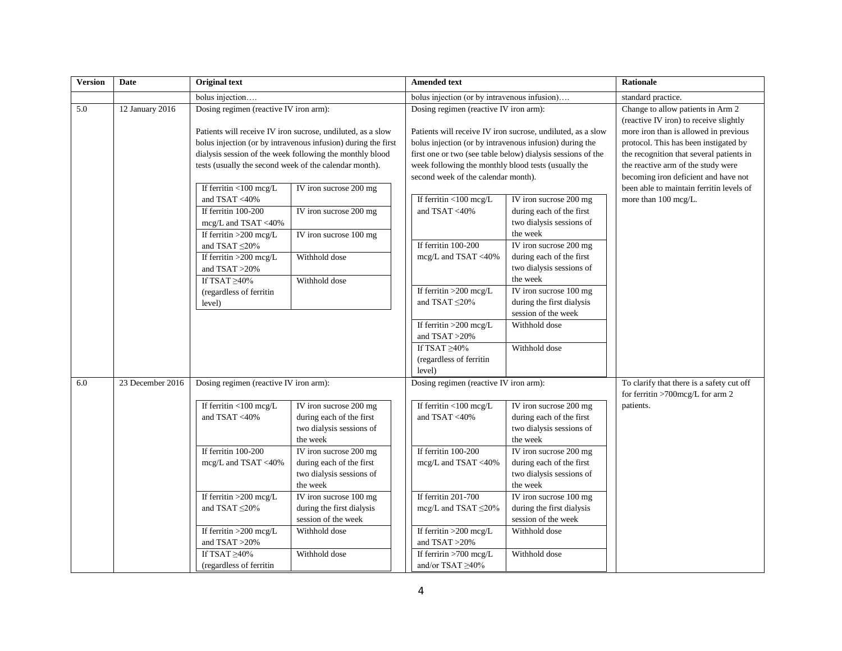| <b>Version</b> | Date             | <b>Original text</b>                                          |                                        | <b>Amended text</b>                                         |                                                             | <b>Rationale</b>                                                              |
|----------------|------------------|---------------------------------------------------------------|----------------------------------------|-------------------------------------------------------------|-------------------------------------------------------------|-------------------------------------------------------------------------------|
|                |                  | bolus injection                                               |                                        | bolus injection (or by intravenous infusion)                |                                                             | standard practice.                                                            |
| 5.0            | 12 January 2016  | Dosing regimen (reactive IV iron arm):                        | Dosing regimen (reactive IV iron arm): |                                                             |                                                             | Change to allow patients in Arm 2<br>(reactive IV iron) to receive slightly   |
|                |                  | Patients will receive IV iron sucrose, undiluted, as a slow   |                                        |                                                             | Patients will receive IV iron sucrose, undiluted, as a slow | more iron than is allowed in previous                                         |
|                |                  | bolus injection (or by intravenous infusion) during the first |                                        | bolus injection (or by intravenous infusion) during the     |                                                             | protocol. This has been instigated by                                         |
|                |                  | dialysis session of the week following the monthly blood      |                                        | first one or two (see table below) dialysis sessions of the |                                                             | the recognition that several patients in                                      |
|                |                  | tests (usually the second week of the calendar month).        |                                        | week following the monthly blood tests (usually the         |                                                             | the reactive arm of the study were                                            |
|                |                  |                                                               |                                        | second week of the calendar month).                         |                                                             | becoming iron deficient and have not                                          |
|                |                  | If ferritin <100 mcg/L<br>IV iron sucrose 200 mg              |                                        |                                                             |                                                             | been able to maintain ferritin levels of                                      |
|                |                  | and TSAT <40%                                                 |                                        | If ferritin $<$ 100 mcg/L                                   | IV iron sucrose 200 mg                                      | more than 100 mcg/L.                                                          |
|                |                  | If ferritin 100-200<br>IV iron sucrose 200 mg                 |                                        | and TSAT <40%                                               | during each of the first                                    |                                                                               |
|                |                  | $mcg/L$ and TSAT <40%                                         |                                        |                                                             | two dialysis sessions of                                    |                                                                               |
|                |                  | IV iron sucrose 100 mg<br>If ferritin $>200$ mcg/L            |                                        |                                                             | the week                                                    |                                                                               |
|                |                  | and TSAT $\leq$ 20%                                           |                                        | If ferritin 100-200                                         | IV iron sucrose 200 mg                                      |                                                                               |
|                |                  | Withhold dose<br>If ferritin >200 mcg/L                       |                                        | mcg/L and TSAT <40%                                         | during each of the first                                    |                                                                               |
|                |                  | and $TSAT > 20\%$                                             |                                        |                                                             | two dialysis sessions of                                    |                                                                               |
|                |                  | If TSAT $\geq 40\%$<br>Withhold dose                          |                                        |                                                             | the week                                                    |                                                                               |
|                |                  | (regardless of ferritin                                       |                                        | If ferritin >200 mcg/L                                      | IV iron sucrose 100 mg                                      |                                                                               |
|                |                  | level)                                                        |                                        | and TSAT $\leq$ 20%                                         | during the first dialysis                                   |                                                                               |
|                |                  |                                                               |                                        |                                                             | session of the week                                         |                                                                               |
|                |                  |                                                               |                                        | If ferritin $>200$ mcg/L                                    | Withhold dose                                               |                                                                               |
|                |                  |                                                               |                                        | and TSAT >20%                                               |                                                             |                                                                               |
|                |                  |                                                               |                                        | If TSAT $\geq 40\%$                                         | Withhold dose                                               |                                                                               |
|                |                  |                                                               |                                        | (regardless of ferritin                                     |                                                             |                                                                               |
|                |                  |                                                               |                                        | level)                                                      |                                                             |                                                                               |
| 6.0            | 23 December 2016 | Dosing regimen (reactive IV iron arm):                        |                                        | Dosing regimen (reactive IV iron arm):                      |                                                             | To clarify that there is a safety cut off<br>for ferritin >700mcg/L for arm 2 |
|                |                  | If ferritin <100 mcg/L<br>IV iron sucrose 200 mg              |                                        | If ferritin <100 mcg/L                                      | IV iron sucrose 200 mg                                      | patients.                                                                     |
|                |                  | and TSAT <40%<br>during each of the first                     |                                        | and TSAT <40%                                               | during each of the first                                    |                                                                               |
|                |                  | two dialysis sessions of                                      |                                        |                                                             | two dialysis sessions of                                    |                                                                               |
|                |                  | the week                                                      |                                        |                                                             | the week                                                    |                                                                               |
|                |                  | If ferritin 100-200<br>IV iron sucrose 200 mg                 |                                        | If ferritin 100-200                                         | IV iron sucrose 200 mg                                      |                                                                               |
|                |                  | mcg/L and TSAT <40%<br>during each of the first               |                                        | mcg/L and TSAT <40%                                         | during each of the first                                    |                                                                               |
|                |                  | two dialysis sessions of                                      |                                        |                                                             | two dialysis sessions of                                    |                                                                               |
|                |                  | the week                                                      |                                        |                                                             | the week                                                    |                                                                               |
|                |                  | If ferritin $>200$ mcg/L<br>IV iron sucrose 100 mg            |                                        | If ferritin 201-700                                         | IV iron sucrose 100 mg                                      |                                                                               |
|                |                  | during the first dialysis<br>and TSAT $\leq$ 20%              |                                        | mcg/L and TSAT $\leq$ 20%                                   | during the first dialysis                                   |                                                                               |
|                |                  | session of the week                                           |                                        |                                                             | session of the week                                         |                                                                               |
|                |                  | If ferritin >200 mcg/L<br>Withhold dose                       |                                        | If ferritin >200 mcg/L                                      | Withhold dose                                               |                                                                               |
|                |                  | and TSAT >20%                                                 |                                        | and TSAT >20%                                               |                                                             |                                                                               |
|                |                  | If TSAT $\geq 40\%$<br>Withhold dose                          |                                        | If ferririn $>700$ mcg/L                                    | Withhold dose                                               |                                                                               |
|                |                  | (regardless of ferritin                                       |                                        | and/or TSAT ≥40%                                            |                                                             |                                                                               |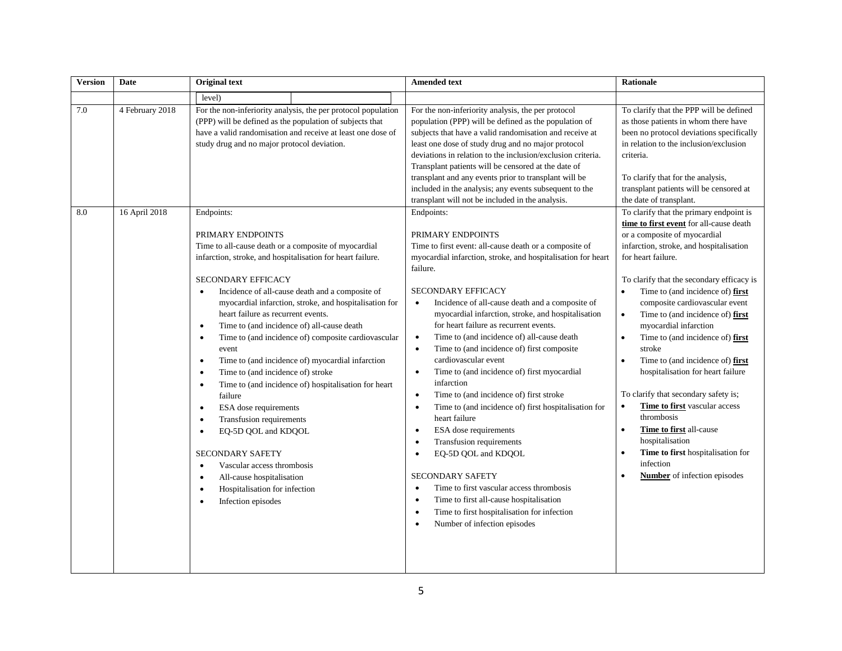| <b>Version</b> | Date            | <b>Original text</b>                                                                                                                                                                                                                                                                                                                                                                                                                                                                                                                                                                                                                                                                                                                                                                                                                                                                                                                                                                                       | <b>Amended text</b>                                                                                                                                                                                                                                                                                                                                                                                                                                                                                                                                                                                                                                                                                                                                                                                                                                                                                                                                                                                                                                                                                 | <b>Rationale</b>                                                                                                                                                                                                                                                                                                                                                                                                                                                                                                                                                                                                                                                                                                                                                                                                    |
|----------------|-----------------|------------------------------------------------------------------------------------------------------------------------------------------------------------------------------------------------------------------------------------------------------------------------------------------------------------------------------------------------------------------------------------------------------------------------------------------------------------------------------------------------------------------------------------------------------------------------------------------------------------------------------------------------------------------------------------------------------------------------------------------------------------------------------------------------------------------------------------------------------------------------------------------------------------------------------------------------------------------------------------------------------------|-----------------------------------------------------------------------------------------------------------------------------------------------------------------------------------------------------------------------------------------------------------------------------------------------------------------------------------------------------------------------------------------------------------------------------------------------------------------------------------------------------------------------------------------------------------------------------------------------------------------------------------------------------------------------------------------------------------------------------------------------------------------------------------------------------------------------------------------------------------------------------------------------------------------------------------------------------------------------------------------------------------------------------------------------------------------------------------------------------|---------------------------------------------------------------------------------------------------------------------------------------------------------------------------------------------------------------------------------------------------------------------------------------------------------------------------------------------------------------------------------------------------------------------------------------------------------------------------------------------------------------------------------------------------------------------------------------------------------------------------------------------------------------------------------------------------------------------------------------------------------------------------------------------------------------------|
|                |                 | level)                                                                                                                                                                                                                                                                                                                                                                                                                                                                                                                                                                                                                                                                                                                                                                                                                                                                                                                                                                                                     |                                                                                                                                                                                                                                                                                                                                                                                                                                                                                                                                                                                                                                                                                                                                                                                                                                                                                                                                                                                                                                                                                                     |                                                                                                                                                                                                                                                                                                                                                                                                                                                                                                                                                                                                                                                                                                                                                                                                                     |
| $7.0\,$        | 4 February 2018 | For the non-inferiority analysis, the per protocol population<br>(PPP) will be defined as the population of subjects that<br>have a valid randomisation and receive at least one dose of<br>study drug and no major protocol deviation.                                                                                                                                                                                                                                                                                                                                                                                                                                                                                                                                                                                                                                                                                                                                                                    | For the non-inferiority analysis, the per protocol<br>population (PPP) will be defined as the population of<br>subjects that have a valid randomisation and receive at<br>least one dose of study drug and no major protocol<br>deviations in relation to the inclusion/exclusion criteria.<br>Transplant patients will be censored at the date of<br>transplant and any events prior to transplant will be<br>included in the analysis; any events subsequent to the<br>transplant will not be included in the analysis.                                                                                                                                                                                                                                                                                                                                                                                                                                                                                                                                                                           | To clarify that the PPP will be defined<br>as those patients in whom there have<br>been no protocol deviations specifically<br>in relation to the inclusion/exclusion<br>criteria.<br>To clarify that for the analysis,<br>transplant patients will be censored at<br>the date of transplant.                                                                                                                                                                                                                                                                                                                                                                                                                                                                                                                       |
| 8.0            | 16 April 2018   | Endpoints:<br>PRIMARY ENDPOINTS<br>Time to all-cause death or a composite of myocardial<br>infarction, stroke, and hospitalisation for heart failure.<br>SECONDARY EFFICACY<br>Incidence of all-cause death and a composite of<br>$\bullet$<br>myocardial infarction, stroke, and hospitalisation for<br>heart failure as recurrent events.<br>Time to (and incidence of) all-cause death<br>$\bullet$<br>Time to (and incidence of) composite cardiovascular<br>$\bullet$<br>event<br>Time to (and incidence of) myocardial infarction<br>$\bullet$<br>Time to (and incidence of) stroke<br>$\bullet$<br>Time to (and incidence of) hospitalisation for heart<br>$\bullet$<br>failure<br>ESA dose requirements<br>$\bullet$<br>Transfusion requirements<br>$\bullet$<br>EQ-5D QOL and KDQOL<br>$\bullet$<br><b>SECONDARY SAFETY</b><br>Vascular access thrombosis<br>$\bullet$<br>All-cause hospitalisation<br>$\bullet$<br>Hospitalisation for infection<br>$\bullet$<br>Infection episodes<br>$\bullet$ | Endpoints:<br>PRIMARY ENDPOINTS<br>Time to first event: all-cause death or a composite of<br>myocardial infarction, stroke, and hospitalisation for heart<br>failure.<br><b>SECONDARY EFFICACY</b><br>Incidence of all-cause death and a composite of<br>$\bullet$<br>myocardial infarction, stroke, and hospitalisation<br>for heart failure as recurrent events.<br>Time to (and incidence of) all-cause death<br>$\bullet$<br>Time to (and incidence of) first composite<br>$\bullet$<br>cardiovascular event<br>Time to (and incidence of) first myocardial<br>$\bullet$<br>infarction<br>Time to (and incidence of) first stroke<br>$\bullet$<br>Time to (and incidence of) first hospitalisation for<br>$\bullet$<br>heart failure<br>ESA dose requirements<br>$\bullet$<br>Transfusion requirements<br>$\bullet$<br>EQ-5D QOL and KDQOL<br><b>SECONDARY SAFETY</b><br>Time to first vascular access thrombosis<br>$\bullet$<br>Time to first all-cause hospitalisation<br>$\bullet$<br>Time to first hospitalisation for infection<br>$\bullet$<br>Number of infection episodes<br>$\bullet$ | To clarify that the primary endpoint is<br>time to first event for all-cause death<br>or a composite of myocardial<br>infarction, stroke, and hospitalisation<br>for heart failure.<br>To clarify that the secondary efficacy is<br>Time to (and incidence of) first<br>$\bullet$<br>composite cardiovascular event<br>Time to (and incidence of) first<br>$\bullet$<br>myocardial infarction<br>Time to (and incidence of) first<br>$\bullet$<br>stroke<br>Time to (and incidence of) first<br>$\bullet$<br>hospitalisation for heart failure<br>To clarify that secondary safety is;<br>Time to first vascular access<br>$\bullet$<br>thrombosis<br>Time to first all-cause<br>$\bullet$<br>hospitalisation<br>Time to first hospitalisation for<br>infection<br><b>Number</b> of infection episodes<br>$\bullet$ |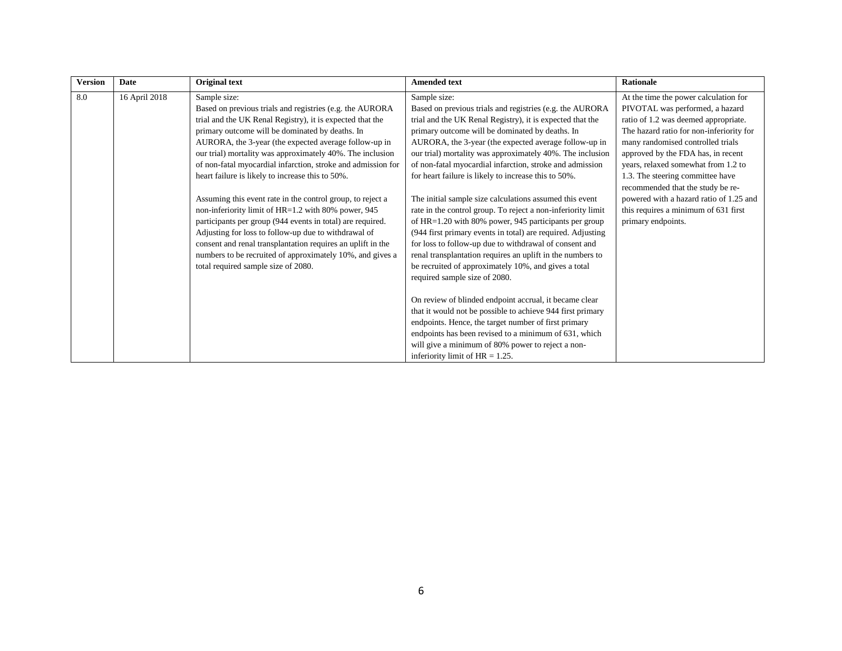| <b>Version</b> | Date          | Original text                                                                                                                                                                                                                                                                                                                                                                                                                                                                                                                                                                                                                                                                                                                                                                                                                                    | <b>Amended text</b>                                                                                                                                                                                                                                                                                                                                                                                                                                                                                                                                                                                                                                                                                                                                                                                                                                                                                      | Rationale                                                                                                                                                                                                                                                                                                                                                                                                                                                        |
|----------------|---------------|--------------------------------------------------------------------------------------------------------------------------------------------------------------------------------------------------------------------------------------------------------------------------------------------------------------------------------------------------------------------------------------------------------------------------------------------------------------------------------------------------------------------------------------------------------------------------------------------------------------------------------------------------------------------------------------------------------------------------------------------------------------------------------------------------------------------------------------------------|----------------------------------------------------------------------------------------------------------------------------------------------------------------------------------------------------------------------------------------------------------------------------------------------------------------------------------------------------------------------------------------------------------------------------------------------------------------------------------------------------------------------------------------------------------------------------------------------------------------------------------------------------------------------------------------------------------------------------------------------------------------------------------------------------------------------------------------------------------------------------------------------------------|------------------------------------------------------------------------------------------------------------------------------------------------------------------------------------------------------------------------------------------------------------------------------------------------------------------------------------------------------------------------------------------------------------------------------------------------------------------|
| 8.0            | 16 April 2018 | Sample size:<br>Based on previous trials and registries (e.g. the AURORA<br>trial and the UK Renal Registry), it is expected that the<br>primary outcome will be dominated by deaths. In<br>AURORA, the 3-year (the expected average follow-up in<br>our trial) mortality was approximately 40%. The inclusion<br>of non-fatal myocardial infarction, stroke and admission for<br>heart failure is likely to increase this to 50%.<br>Assuming this event rate in the control group, to reject a<br>non-inferiority limit of HR=1.2 with 80% power, 945<br>participants per group (944 events in total) are required.<br>Adjusting for loss to follow-up due to withdrawal of<br>consent and renal transplantation requires an uplift in the<br>numbers to be recruited of approximately 10%, and gives a<br>total required sample size of 2080. | Sample size:<br>Based on previous trials and registries (e.g. the AURORA<br>trial and the UK Renal Registry), it is expected that the<br>primary outcome will be dominated by deaths. In<br>AURORA, the 3-year (the expected average follow-up in<br>our trial) mortality was approximately 40%. The inclusion<br>of non-fatal myocardial infarction, stroke and admission<br>for heart failure is likely to increase this to 50%.<br>The initial sample size calculations assumed this event<br>rate in the control group. To reject a non-inferiority limit<br>of $HR=1.20$ with 80% power, 945 participants per group<br>(944 first primary events in total) are required. Adjusting<br>for loss to follow-up due to withdrawal of consent and<br>renal transplantation requires an uplift in the numbers to<br>be recruited of approximately 10%, and gives a total<br>required sample size of 2080. | At the time the power calculation for<br>PIVOTAL was performed, a hazard<br>ratio of 1.2 was deemed appropriate.<br>The hazard ratio for non-inferiority for<br>many randomised controlled trials<br>approved by the FDA has, in recent<br>years, relaxed somewhat from 1.2 to<br>1.3. The steering committee have<br>recommended that the study be re-<br>powered with a hazard ratio of 1.25 and<br>this requires a minimum of 631 first<br>primary endpoints. |
|                |               |                                                                                                                                                                                                                                                                                                                                                                                                                                                                                                                                                                                                                                                                                                                                                                                                                                                  | On review of blinded endpoint accrual, it became clear<br>that it would not be possible to achieve 944 first primary<br>endpoints. Hence, the target number of first primary<br>endpoints has been revised to a minimum of 631, which<br>will give a minimum of 80% power to reject a non-<br>inferiority limit of $HR = 1.25$ .                                                                                                                                                                                                                                                                                                                                                                                                                                                                                                                                                                         |                                                                                                                                                                                                                                                                                                                                                                                                                                                                  |